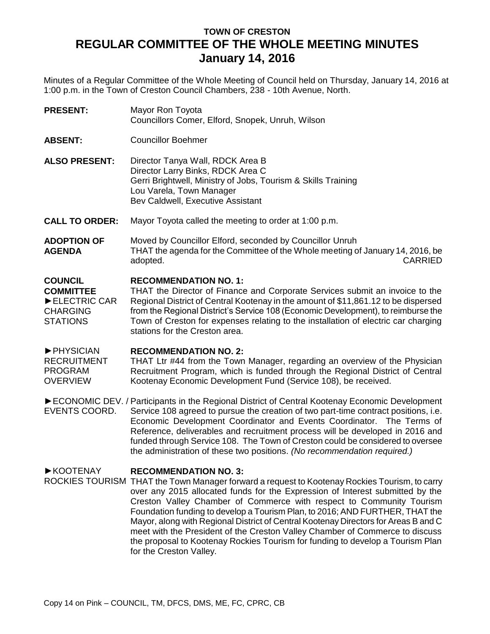## **TOWN OF CRESTON REGULAR COMMITTEE OF THE WHOLE MEETING MINUTES January 14, 2016**

Minutes of a Regular Committee of the Whole Meeting of Council held on Thursday, January 14, 2016 at 1:00 p.m. in the Town of Creston Council Chambers, 238 - 10th Avenue, North.

**PRESENT:** Mayor Ron Toyota Councillors Comer, Elford, Snopek, Unruh, Wilson

- **ABSENT:** Councillor Boehmer
- **ALSO PRESENT:** Director Tanya Wall, RDCK Area B Director Larry Binks, RDCK Area C Gerri Brightwell, Ministry of Jobs, Tourism & Skills Training Lou Varela, Town Manager Bev Caldwell, Executive Assistant

**CALL TO ORDER:** Mayor Toyota called the meeting to order at 1:00 p.m.

**ADOPTION OF AGENDA** Moved by Councillor Elford, seconded by Councillor Unruh THAT the agenda for the Committee of the Whole meeting of January 14, 2016, be adopted. CARRIED

## **COUNCIL RECOMMENDATION NO. 1:**

**COMMITTEE** ►ELECTRIC CAR CHARGING STATIONS THAT the Director of Finance and Corporate Services submit an invoice to the Regional District of Central Kootenay in the amount of \$11,861.12 to be dispersed from the Regional District's Service 108 (Economic Development), to reimburse the Town of Creston for expenses relating to the installation of electric car charging stations for the Creston area.

►PHYSICIAN **RECOMMENDATION NO. 2:**

RECRUITMENT PROGRAM **OVERVIEW** THAT Ltr #44 from the Town Manager, regarding an overview of the Physician Recruitment Program, which is funded through the Regional District of Central Kootenay Economic Development Fund (Service 108), be received.

► ECONOMIC DEV. / Participants in the Regional District of Central Kootenay Economic Development EVENTS COORD. Service 108 agreed to pursue the creation of two part-time contract positions, i.e. Economic Development Coordinator and Events Coordinator. The Terms of Reference, deliverables and recruitment process will be developed in 2016 and funded through Service 108. The Town of Creston could be considered to oversee the administration of these two positions. *(No recommendation required.)*

## ►KOOTENAY **RECOMMENDATION NO. 3:**

ROCKIES TOURISM THAT the Town Manager forward a request to Kootenay Rockies Tourism, to carry over any 2015 allocated funds for the Expression of Interest submitted by the Creston Valley Chamber of Commerce with respect to Community Tourism Foundation funding to develop a Tourism Plan, to 2016; AND FURTHER, THAT the Mayor, along with Regional District of Central Kootenay Directors for Areas B and C meet with the President of the Creston Valley Chamber of Commerce to discuss the proposal to Kootenay Rockies Tourism for funding to develop a Tourism Plan for the Creston Valley.